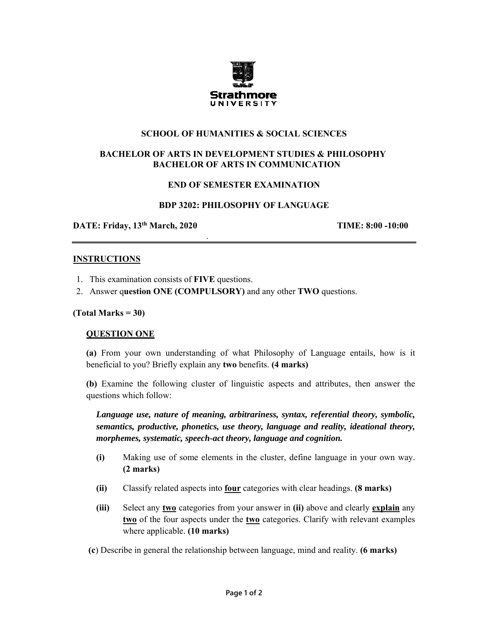

### **SCHOOL OF HUMANITIES & SOCIAL SCIENCES**

# **BACHELOR OF ARTS IN DEVELOPMENT STUDIES & PHILOSOPHY BACHELOR OF ARTS IN COMMUNICATION**

### **END OF SEMESTER EXAMINATION**

### **BDP 3202: PHILOSOPHY OF LANGUAGE**

**DATE: Friday, 13<sup>th</sup> March, 2020 <b>TIME: 8:00 -10:00** 

.

#### **INSTRUCTIONS**

- 1. This examination consists of **FIVE** questions.
- 2. Answer q**uestion ONE (COMPULSORY)** and any other **TWO** questions.

#### **(Total Marks = 30)**

### **QUESTION ONE**

**(a)** From your own understanding of what Philosophy of Language entails, how is it beneficial to you? Briefly explain any **two** benefits. **(4 marks)** 

**(b)** Examine the following cluster of linguistic aspects and attributes, then answer the questions which follow:

*Language use, nature of meaning, arbitrariness, syntax, referential theory, symbolic, semantics, productive, phonetics, use theory, language and reality, ideational theory, morphemes, systematic, speech-act theory, language and cognition.* 

- **(i)** Making use of some elements in the cluster, define language in your own way. **(2 marks)**
- **(ii)** Classify related aspects into **four** categories with clear headings. **(8 marks)**
- **(iii)** Select any **two** categories from your answer in **(ii)** above and clearly **explain** any **two** of the four aspects under the **two** categories. Clarify with relevant examples where applicable. **(10 marks)**
- **(c**) Describe in general the relationship between language, mind and reality. **(6 marks)**